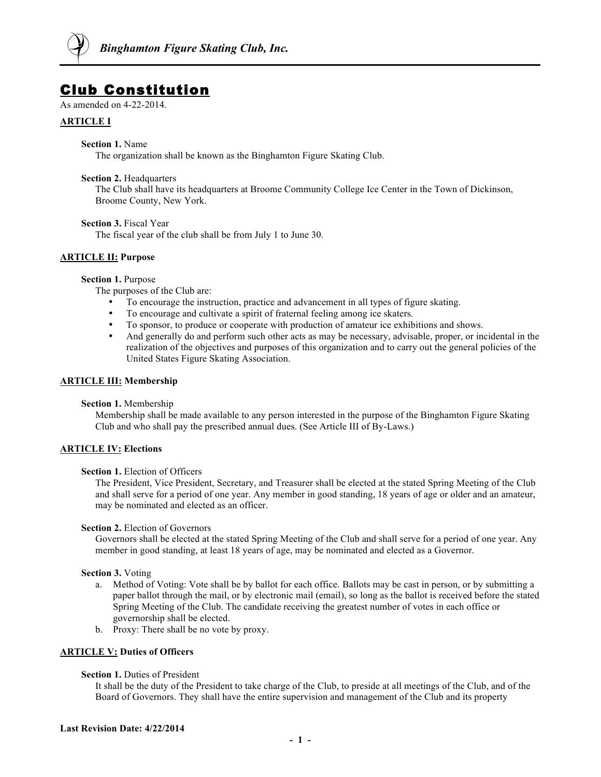

# Club Constitution

As amended on 4-22-2014.

# **ARTICLE I**

## **Section 1.** Name

The organization shall be known as the Binghamton Figure Skating Club.

#### **Section 2.** Headquarters

The Club shall have its headquarters at Broome Community College Ice Center in the Town of Dickinson, Broome County, New York.

## **Section 3.** Fiscal Year

The fiscal year of the club shall be from July 1 to June 30.

## **ARTICLE II: Purpose**

#### **Section 1.** Purpose

The purposes of the Club are:

- To encourage the instruction, practice and advancement in all types of figure skating.
- To encourage and cultivate a spirit of fraternal feeling among ice skaters.
- To sponsor, to produce or cooperate with production of amateur ice exhibitions and shows.
- And generally do and perform such other acts as may be necessary, advisable, proper, or incidental in the realization of the objectives and purposes of this organization and to carry out the general policies of the United States Figure Skating Association.

## **ARTICLE III: Membership**

## **Section 1.** Membership

Membership shall be made available to any person interested in the purpose of the Binghamton Figure Skating Club and who shall pay the prescribed annual dues. (See Article III of By-Laws.)

# **ARTICLE IV: Elections**

# **Section 1.** Election of Officers

The President, Vice President, Secretary, and Treasurer shall be elected at the stated Spring Meeting of the Club and shall serve for a period of one year. Any member in good standing, 18 years of age or older and an amateur, may be nominated and elected as an officer.

## **Section 2.** Election of Governors

Governors shall be elected at the stated Spring Meeting of the Club and shall serve for a period of one year. Any member in good standing, at least 18 years of age, may be nominated and elected as a Governor.

## **Section 3.** Voting

- a. Method of Voting: Vote shall be by ballot for each office. Ballots may be cast in person, or by submitting a paper ballot through the mail, or by electronic mail (email), so long as the ballot is received before the stated Spring Meeting of the Club. The candidate receiving the greatest number of votes in each office or governorship shall be elected.
- b. Proxy: There shall be no vote by proxy.

## **ARTICLE V: Duties of Officers**

## **Section 1.** Duties of President

It shall be the duty of the President to take charge of the Club, to preside at all meetings of the Club, and of the Board of Governors. They shall have the entire supervision and management of the Club and its property

#### **Last Revision Date: 4/22/2014**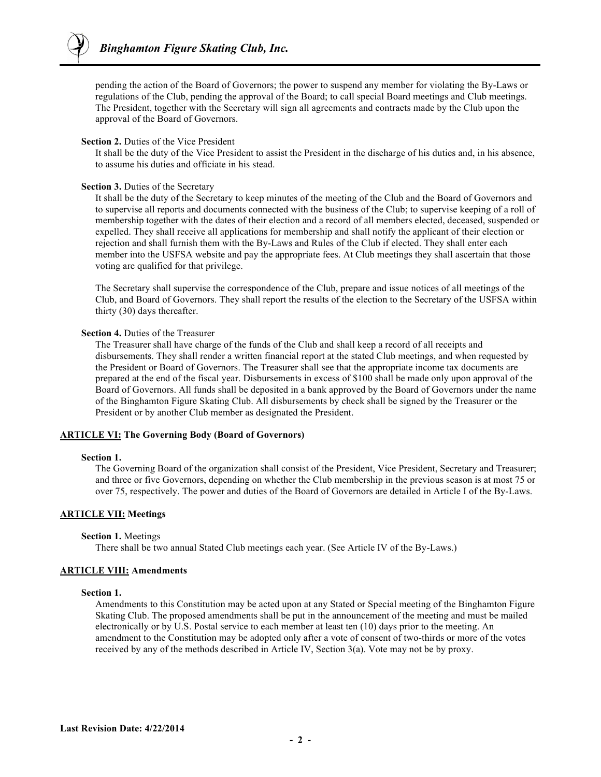pending the action of the Board of Governors; the power to suspend any member for violating the By-Laws or regulations of the Club, pending the approval of the Board; to call special Board meetings and Club meetings. The President, together with the Secretary will sign all agreements and contracts made by the Club upon the approval of the Board of Governors.

#### **Section 2.** Duties of the Vice President

It shall be the duty of the Vice President to assist the President in the discharge of his duties and, in his absence, to assume his duties and officiate in his stead.

#### **Section 3.** Duties of the Secretary

It shall be the duty of the Secretary to keep minutes of the meeting of the Club and the Board of Governors and to supervise all reports and documents connected with the business of the Club; to supervise keeping of a roll of membership together with the dates of their election and a record of all members elected, deceased, suspended or expelled. They shall receive all applications for membership and shall notify the applicant of their election or rejection and shall furnish them with the By-Laws and Rules of the Club if elected. They shall enter each member into the USFSA website and pay the appropriate fees. At Club meetings they shall ascertain that those voting are qualified for that privilege.

The Secretary shall supervise the correspondence of the Club, prepare and issue notices of all meetings of the Club, and Board of Governors. They shall report the results of the election to the Secretary of the USFSA within thirty (30) days thereafter.

#### **Section 4.** Duties of the Treasurer

The Treasurer shall have charge of the funds of the Club and shall keep a record of all receipts and disbursements. They shall render a written financial report at the stated Club meetings, and when requested by the President or Board of Governors. The Treasurer shall see that the appropriate income tax documents are prepared at the end of the fiscal year. Disbursements in excess of \$100 shall be made only upon approval of the Board of Governors. All funds shall be deposited in a bank approved by the Board of Governors under the name of the Binghamton Figure Skating Club. All disbursements by check shall be signed by the Treasurer or the President or by another Club member as designated the President.

## **ARTICLE VI: The Governing Body (Board of Governors)**

#### **Section 1.**

The Governing Board of the organization shall consist of the President, Vice President, Secretary and Treasurer; and three or five Governors, depending on whether the Club membership in the previous season is at most 75 or over 75, respectively. The power and duties of the Board of Governors are detailed in Article I of the By-Laws.

#### **ARTICLE VII: Meetings**

#### **Section 1.** Meetings

There shall be two annual Stated Club meetings each year. (See Article IV of the By-Laws.)

#### **ARTICLE VIII: Amendments**

#### **Section 1.**

Amendments to this Constitution may be acted upon at any Stated or Special meeting of the Binghamton Figure Skating Club. The proposed amendments shall be put in the announcement of the meeting and must be mailed electronically or by U.S. Postal service to each member at least ten (10) days prior to the meeting. An amendment to the Constitution may be adopted only after a vote of consent of two-thirds or more of the votes received by any of the methods described in Article IV, Section 3(a). Vote may not be by proxy.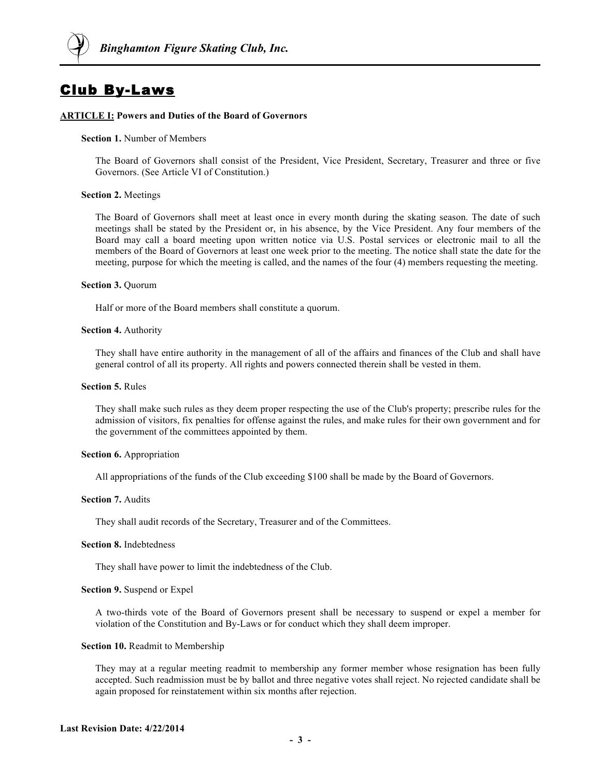

# Club By-Laws

#### **ARTICLE I: Powers and Duties of the Board of Governors**

#### **Section 1.** Number of Members

The Board of Governors shall consist of the President, Vice President, Secretary, Treasurer and three or five Governors. (See Article VI of Constitution.)

#### **Section 2.** Meetings

The Board of Governors shall meet at least once in every month during the skating season. The date of such meetings shall be stated by the President or, in his absence, by the Vice President. Any four members of the Board may call a board meeting upon written notice via U.S. Postal services or electronic mail to all the members of the Board of Governors at least one week prior to the meeting. The notice shall state the date for the meeting, purpose for which the meeting is called, and the names of the four (4) members requesting the meeting.

#### **Section 3.** Quorum

Half or more of the Board members shall constitute a quorum.

#### **Section 4.** Authority

They shall have entire authority in the management of all of the affairs and finances of the Club and shall have general control of all its property. All rights and powers connected therein shall be vested in them.

#### **Section 5.** Rules

They shall make such rules as they deem proper respecting the use of the Club's property; prescribe rules for the admission of visitors, fix penalties for offense against the rules, and make rules for their own government and for the government of the committees appointed by them.

#### **Section 6.** Appropriation

All appropriations of the funds of the Club exceeding \$100 shall be made by the Board of Governors.

#### **Section 7.** Audits

They shall audit records of the Secretary, Treasurer and of the Committees.

#### **Section 8.** Indebtedness

They shall have power to limit the indebtedness of the Club.

#### **Section 9.** Suspend or Expel

A two-thirds vote of the Board of Governors present shall be necessary to suspend or expel a member for violation of the Constitution and By-Laws or for conduct which they shall deem improper.

#### **Section 10.** Readmit to Membership

They may at a regular meeting readmit to membership any former member whose resignation has been fully accepted. Such readmission must be by ballot and three negative votes shall reject. No rejected candidate shall be again proposed for reinstatement within six months after rejection.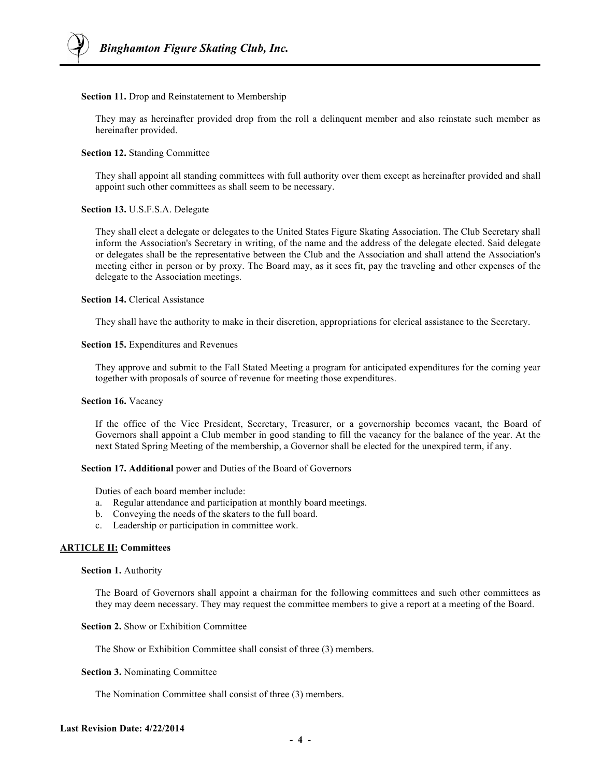#### **Section 11.** Drop and Reinstatement to Membership

They may as hereinafter provided drop from the roll a delinquent member and also reinstate such member as hereinafter provided.

## **Section 12.** Standing Committee

They shall appoint all standing committees with full authority over them except as hereinafter provided and shall appoint such other committees as shall seem to be necessary.

## **Section 13.** U.S.F.S.A. Delegate

They shall elect a delegate or delegates to the United States Figure Skating Association. The Club Secretary shall inform the Association's Secretary in writing, of the name and the address of the delegate elected. Said delegate or delegates shall be the representative between the Club and the Association and shall attend the Association's meeting either in person or by proxy. The Board may, as it sees fit, pay the traveling and other expenses of the delegate to the Association meetings.

# **Section 14.** Clerical Assistance

They shall have the authority to make in their discretion, appropriations for clerical assistance to the Secretary.

## **Section 15.** Expenditures and Revenues

They approve and submit to the Fall Stated Meeting a program for anticipated expenditures for the coming year together with proposals of source of revenue for meeting those expenditures.

## **Section 16.** Vacancy

If the office of the Vice President, Secretary, Treasurer, or a governorship becomes vacant, the Board of Governors shall appoint a Club member in good standing to fill the vacancy for the balance of the year. At the next Stated Spring Meeting of the membership, a Governor shall be elected for the unexpired term, if any.

## **Section 17. Additional** power and Duties of the Board of Governors

Duties of each board member include:

- a. Regular attendance and participation at monthly board meetings.
- b. Conveying the needs of the skaters to the full board.
- c. Leadership or participation in committee work.

## **ARTICLE II: Committees**

#### **Section 1.** Authority

The Board of Governors shall appoint a chairman for the following committees and such other committees as they may deem necessary. They may request the committee members to give a report at a meeting of the Board.

# **Section 2.** Show or Exhibition Committee

The Show or Exhibition Committee shall consist of three (3) members.

## **Section 3.** Nominating Committee

The Nomination Committee shall consist of three (3) members.

## **Last Revision Date: 4/22/2014**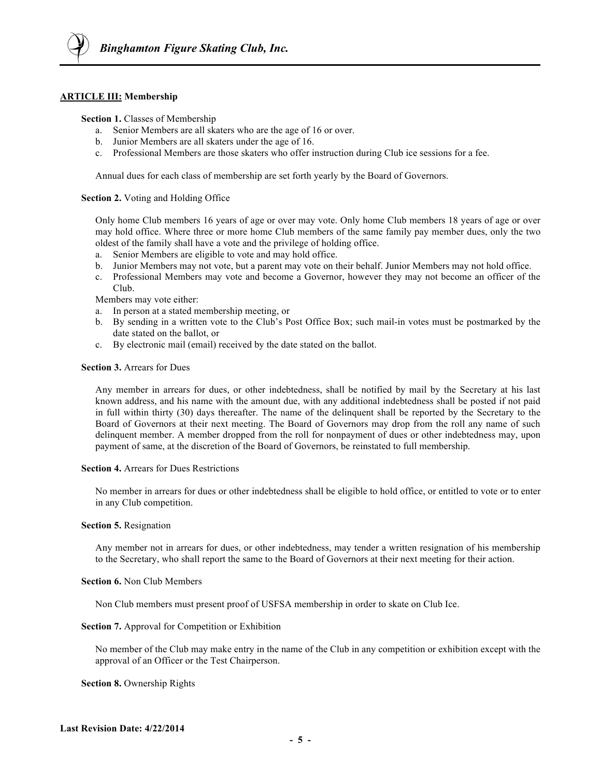## **ARTICLE III: Membership**

#### **Section 1.** Classes of Membership

- a. Senior Members are all skaters who are the age of 16 or over.
- b. Junior Members are all skaters under the age of 16.
- c. Professional Members are those skaters who offer instruction during Club ice sessions for a fee.

Annual dues for each class of membership are set forth yearly by the Board of Governors.

#### **Section 2.** Voting and Holding Office

Only home Club members 16 years of age or over may vote. Only home Club members 18 years of age or over may hold office. Where three or more home Club members of the same family pay member dues, only the two oldest of the family shall have a vote and the privilege of holding office.

- a. Senior Members are eligible to vote and may hold office.
- b. Junior Members may not vote, but a parent may vote on their behalf. Junior Members may not hold office.
- c. Professional Members may vote and become a Governor, however they may not become an officer of the Club.

Members may vote either:

- a. In person at a stated membership meeting, or
- b. By sending in a written vote to the Club's Post Office Box; such mail-in votes must be postmarked by the date stated on the ballot, or
- c. By electronic mail (email) received by the date stated on the ballot.

#### **Section 3.** Arrears for Dues

Any member in arrears for dues, or other indebtedness, shall be notified by mail by the Secretary at his last known address, and his name with the amount due, with any additional indebtedness shall be posted if not paid in full within thirty (30) days thereafter. The name of the delinquent shall be reported by the Secretary to the Board of Governors at their next meeting. The Board of Governors may drop from the roll any name of such delinquent member. A member dropped from the roll for nonpayment of dues or other indebtedness may, upon payment of same, at the discretion of the Board of Governors, be reinstated to full membership.

#### **Section 4.** Arrears for Dues Restrictions

No member in arrears for dues or other indebtedness shall be eligible to hold office, or entitled to vote or to enter in any Club competition.

#### **Section 5.** Resignation

Any member not in arrears for dues, or other indebtedness, may tender a written resignation of his membership to the Secretary, who shall report the same to the Board of Governors at their next meeting for their action.

#### **Section 6.** Non Club Members

Non Club members must present proof of USFSA membership in order to skate on Club Ice.

#### **Section 7.** Approval for Competition or Exhibition

No member of the Club may make entry in the name of the Club in any competition or exhibition except with the approval of an Officer or the Test Chairperson.

**Section 8.** Ownership Rights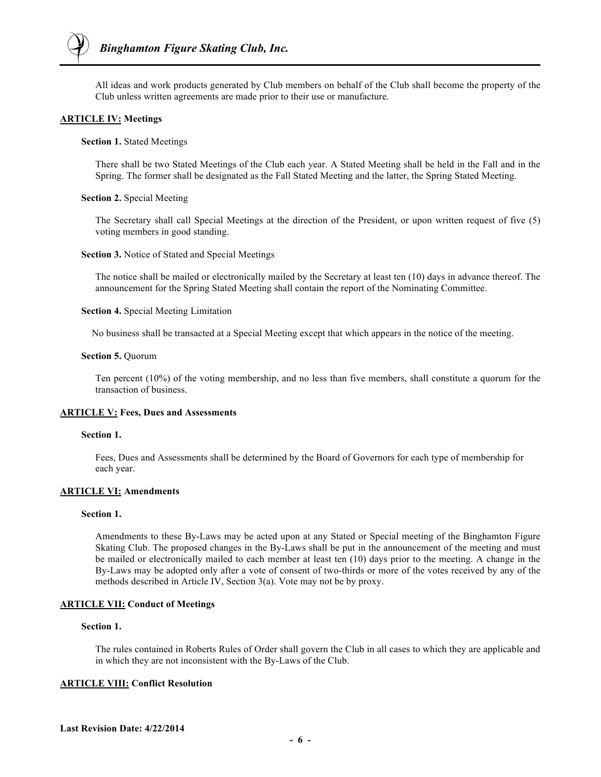All ideas and work products generated by Club members on behalf of the Club shall become the property of the Club unless written agreements are made prior to their use or manufacture.

## **ARTICLE IV: Meetings**

**Section 1.** Stated Meetings

There shall be two Stated Meetings of the Club each year. A Stated Meeting shall be held in the Fall and in the Spring. The former shall be designated as the Fall Stated Meeting and the latter, the Spring Stated Meeting.

#### **Section 2.** Special Meeting

The Secretary shall call Special Meetings at the direction of the President, or upon written request of five (5) voting members in good standing.

**Section 3.** Notice of Stated and Special Meetings

The notice shall be mailed or electronically mailed by the Secretary at least ten (10) days in advance thereof. The announcement for the Spring Stated Meeting shall contain the report of the Nominating Committee.

**Section 4.** Special Meeting Limitation

No business shall be transacted at a Special Meeting except that which appears in the notice of the meeting.

#### **Section 5.** Quorum

Ten percent (10%) of the voting membership, and no less than five members, shall constitute a quorum for the transaction of business.

## **ARTICLE V: Fees, Dues and Assessments**

#### **Section 1.**

Fees, Dues and Assessments shall be determined by the Board of Governors for each type of membership for each year.

## **ARTICLE VI: Amendments**

#### **Section 1.**

Amendments to these By-Laws may be acted upon at any Stated or Special meeting of the Binghamton Figure Skating Club. The proposed changes in the By-Laws shall be put in the announcement of the meeting and must be mailed or electronically mailed to each member at least ten (10) days prior to the meeting. A change in the By-Laws may be adopted only after a vote of consent of two-thirds or more of the votes received by any of the methods described in Article IV, Section 3(a). Vote may not be by proxy.

## **ARTICLE VII: Conduct of Meetings**

## **Section 1.**

The rules contained in Roberts Rules of Order shall govern the Club in all cases to which they are applicable and in which they are not inconsistent with the By-Laws of the Club.

## **ARTICLE VIII: Conflict Resolution**